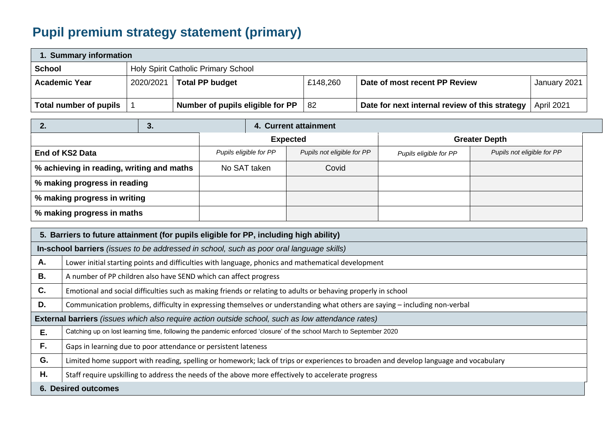## **Pupil premium strategy statement (primary)**

| 1. Summary information |                                     |                                  |          |                                                |              |  |
|------------------------|-------------------------------------|----------------------------------|----------|------------------------------------------------|--------------|--|
| School                 | Holy Spirit Catholic Primary School |                                  |          |                                                |              |  |
| <b>Academic Year</b>   | 2020/2021                           | <b>Total PP budget</b>           | £148,260 | Date of most recent PP Review                  | January 2021 |  |
| Total number of pupils |                                     | Number of pupils eligible for PP | -82      | Date for next internal review of this strategy | April 2021   |  |

|                                           | 3. |                        |  | 4. Current attainment      |                        |                            |
|-------------------------------------------|----|------------------------|--|----------------------------|------------------------|----------------------------|
|                                           |    | <b>Expected</b>        |  | <b>Greater Depth</b>       |                        |                            |
| End of KS2 Data                           |    | Pupils eligible for PP |  | Pupils not eligible for PP | Pupils eligible for PP | Pupils not eligible for PP |
| % achieving in reading, writing and maths |    | No SAT taken           |  | Covid                      |                        |                            |
| % making progress in reading              |    |                        |  |                            |                        |                            |
| % making progress in writing              |    |                        |  |                            |                        |                            |
| % making progress in maths                |    |                        |  |                            |                        |                            |

|    | 5. Barriers to future attainment (for pupils eligible for PP, including high ability)                                                |  |  |  |  |
|----|--------------------------------------------------------------------------------------------------------------------------------------|--|--|--|--|
|    | In-school barriers (issues to be addressed in school, such as poor oral language skills)                                             |  |  |  |  |
| Α. | Lower initial starting points and difficulties with language, phonics and mathematical development                                   |  |  |  |  |
| В. | A number of PP children also have SEND which can affect progress                                                                     |  |  |  |  |
| C. | Emotional and social difficulties such as making friends or relating to adults or behaving properly in school                        |  |  |  |  |
| D. | Communication problems, difficulty in expressing themselves or understanding what others are saying – including non-verbal           |  |  |  |  |
|    | <b>External barriers</b> (issues which also require action outside school, such as low attendance rates)                             |  |  |  |  |
| E. | Catching up on lost learning time, following the pandemic enforced 'closure' of the school March to September 2020                   |  |  |  |  |
| F. | Gaps in learning due to poor attendance or persistent lateness                                                                       |  |  |  |  |
| G. | Limited home support with reading, spelling or homework; lack of trips or experiences to broaden and develop language and vocabulary |  |  |  |  |
| Η. | Staff require upskilling to address the needs of the above more effectively to accelerate progress                                   |  |  |  |  |
|    | <b>6. Desired outcomes</b>                                                                                                           |  |  |  |  |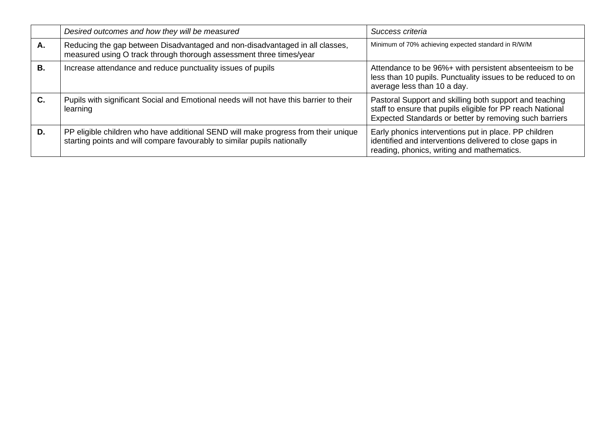|           | Desired outcomes and how they will be measured                                                                                                                 | Success criteria                                                                                                                                                                |
|-----------|----------------------------------------------------------------------------------------------------------------------------------------------------------------|---------------------------------------------------------------------------------------------------------------------------------------------------------------------------------|
| Α.        | Reducing the gap between Disadvantaged and non-disadvantaged in all classes,<br>measured using O track through thorough assessment three times/year            | Minimum of 70% achieving expected standard in R/W/M                                                                                                                             |
| <b>B.</b> | Increase attendance and reduce punctuality issues of pupils                                                                                                    | Attendance to be 96%+ with persistent absenteeism to be<br>less than 10 pupils. Punctuality issues to be reduced to on<br>average less than 10 a day.                           |
| C.        | Pupils with significant Social and Emotional needs will not have this barrier to their<br>learning                                                             | Pastoral Support and skilling both support and teaching<br>staff to ensure that pupils eligible for PP reach National<br>Expected Standards or better by removing such barriers |
| D.        | PP eligible children who have additional SEND will make progress from their unique<br>starting points and will compare favourably to similar pupils nationally | Early phonics interventions put in place. PP children<br>identified and interventions delivered to close gaps in<br>reading, phonics, writing and mathematics.                  |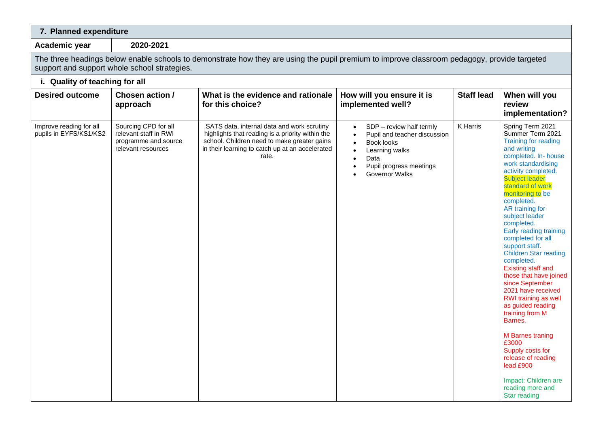## **7. Planned expenditure**

**Academic year 2020-2021**

The three headings below enable schools to demonstrate how they are using the pupil premium to improve classroom pedagogy, provide targeted support and support whole school strategies.

| i. Quality of teaching for all                    |                                                                                             |                                                                                                                                                                                                           |                                                                                                                                                                                                          |                   |                                                                                                                                                                                                                                                                                                                                                                                                                                                                                                                                                                                                                                                                                                                                                   |  |  |
|---------------------------------------------------|---------------------------------------------------------------------------------------------|-----------------------------------------------------------------------------------------------------------------------------------------------------------------------------------------------------------|----------------------------------------------------------------------------------------------------------------------------------------------------------------------------------------------------------|-------------------|---------------------------------------------------------------------------------------------------------------------------------------------------------------------------------------------------------------------------------------------------------------------------------------------------------------------------------------------------------------------------------------------------------------------------------------------------------------------------------------------------------------------------------------------------------------------------------------------------------------------------------------------------------------------------------------------------------------------------------------------------|--|--|
| <b>Desired outcome</b>                            | Chosen action /<br>approach                                                                 | What is the evidence and rationale<br>for this choice?                                                                                                                                                    | How will you ensure it is<br>implemented well?                                                                                                                                                           | <b>Staff lead</b> | When will you<br>review<br>implementation?                                                                                                                                                                                                                                                                                                                                                                                                                                                                                                                                                                                                                                                                                                        |  |  |
| Improve reading for all<br>pupils in EYFS/KS1/KS2 | Sourcing CPD for all<br>relevant staff in RWI<br>programme and source<br>relevant resources | SATS data, internal data and work scrutiny<br>highlights that reading is a priority within the<br>school. Children need to make greater gains<br>in their learning to catch up at an accelerated<br>rate. | SDP - review half termly<br>$\bullet$<br>Pupil and teacher discussion<br>$\bullet$<br>Book looks<br>$\bullet$<br>Learning walks<br>Data<br>$\bullet$<br>Pupil progress meetings<br><b>Governor Walks</b> | K Harris          | Spring Term 2021<br>Summer Term 2021<br><b>Training for reading</b><br>and writing<br>completed. In- house<br>work standardising<br>activity completed.<br><b>Subject leader</b><br>standard of work<br>monitoring to be<br>completed.<br>AR training for<br>subject leader<br>completed.<br>Early reading training<br>completed for all<br>support staff.<br><b>Children Star reading</b><br>completed.<br><b>Existing staff and</b><br>those that have joined<br>since September<br>2021 have received<br>RWI training as well<br>as guided reading<br>training from M<br>Barnes.<br><b>M</b> Barnes traning<br>£3000<br>Supply costs for<br>release of reading<br>lead £900<br>Impact: Children are<br>reading more and<br><b>Star reading</b> |  |  |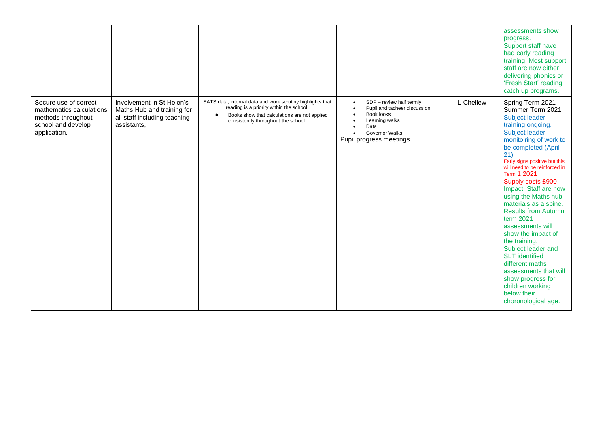|                                                                                                               |                                                                                                        |                                                                                                                                                                                                            |                                                                                                                                                                                |           | assessments show<br>progress.<br>Support staff have<br>had early reading<br>training. Most support<br>staff are now either<br>delivering phonics or<br>'Fresh Start' reading<br>catch up programs.                                                                                                                                                                                                                                                                                                                                                                                                                   |
|---------------------------------------------------------------------------------------------------------------|--------------------------------------------------------------------------------------------------------|------------------------------------------------------------------------------------------------------------------------------------------------------------------------------------------------------------|--------------------------------------------------------------------------------------------------------------------------------------------------------------------------------|-----------|----------------------------------------------------------------------------------------------------------------------------------------------------------------------------------------------------------------------------------------------------------------------------------------------------------------------------------------------------------------------------------------------------------------------------------------------------------------------------------------------------------------------------------------------------------------------------------------------------------------------|
| Secure use of correct<br>mathematics calculations<br>methods throughout<br>school and develop<br>application. | Involvement in St Helen's<br>Maths Hub and training for<br>all staff including teaching<br>assistants, | SATS data, internal data and work scrutiny highlights that<br>reading is a priority within the school.<br>Books show that calculations are not applied<br>$\bullet$<br>consistently throughout the school. | SDP - review half termly<br>$\bullet$<br>Pupil and tacheer discussion<br>Book looks<br>$\bullet$<br>Learning walks<br>Data<br><b>Governor Walks</b><br>Pupil progress meetings | L Chellew | Spring Term 2021<br>Summer Term 2021<br>Subject leader<br>training ongoing.<br>Subject leader<br>monitoiring of work to<br>be completed (April<br>21)<br>Early signs positive but this<br>will need to be reinforced in<br>Term 1 2021<br>Supply costs £900<br>Impact: Staff are now<br>using the Maths hub<br>materials as a spine.<br><b>Results from Autumn</b><br>term 2021<br>assessments will<br>show the impact of<br>the training.<br>Subject leader and<br><b>SLT</b> identified<br>different maths<br>assessments that will<br>show progress for<br>children working<br>below their<br>choronological age. |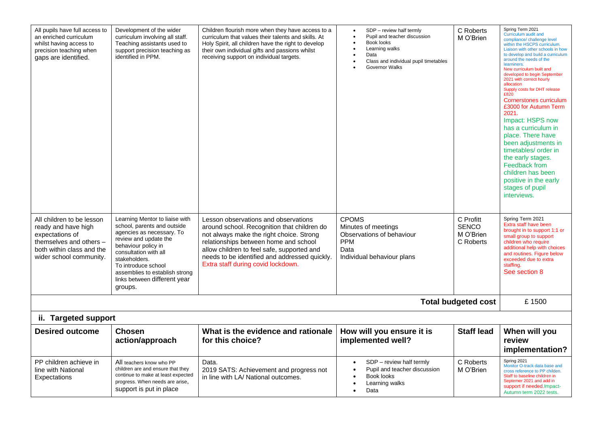| All pupils have full access to<br>an enriched curriculum<br>whilst having access to<br>precision teaching when<br>gaps are identified.                 | Development of the wider<br>curriculum involving all staff.<br>Teaching assistants used to<br>support precision teaching as<br>identified in PPM.                                                                                                                                        | Children flourish more when they have access to a<br>curriculum that values their talents and skills. At<br>Holy Spirit, all children have the right to develop<br>their own individual gifts and passions whilst<br>receiving support on individual targets.                                                 | SDP - review half termly<br>Pupil and teacher discussion<br>Book looks<br>Learning walks<br>Data<br>Class and individual pupil timetables<br>Governor Walks | C Roberts<br>M O'Brien                              | Spring Term 2021<br>Curriculum audit and<br>compliance/ challenge level<br>within the HSCPS curriculum.<br>Liaison with other schools in how<br>to develop and build a curriculum<br>around the needs of the<br>learniners.<br>New curriculum built and<br>developed to begin September<br>2021 with correct hourly<br>allocation<br>Supply costs for DHT release<br>£820<br>Cornerstones curriculum<br>£3000 for Autumn Term<br>2021.<br>Impact: HSPS now<br>has a curriculum in<br>place. There have<br>been adjustments in<br>timetables/ order in<br>the early stages.<br>Feedback from<br>children has been<br>positive in the early<br>stages of pupil<br>interviews. |
|--------------------------------------------------------------------------------------------------------------------------------------------------------|------------------------------------------------------------------------------------------------------------------------------------------------------------------------------------------------------------------------------------------------------------------------------------------|---------------------------------------------------------------------------------------------------------------------------------------------------------------------------------------------------------------------------------------------------------------------------------------------------------------|-------------------------------------------------------------------------------------------------------------------------------------------------------------|-----------------------------------------------------|-----------------------------------------------------------------------------------------------------------------------------------------------------------------------------------------------------------------------------------------------------------------------------------------------------------------------------------------------------------------------------------------------------------------------------------------------------------------------------------------------------------------------------------------------------------------------------------------------------------------------------------------------------------------------------|
| All children to be lesson<br>ready and have high<br>expectations of<br>themselves and others -<br>both within class and the<br>wider school community. | Learning Mentor to liaise with<br>school, parents and outside<br>agencies as necessary. To<br>review and update the<br>behaviour policy in<br>consultation with all<br>stakeholders.<br>To introduce school<br>assemblies to establish strong<br>links between different year<br>groups. | Lesson observations and observations<br>around school. Recognition that children do<br>not always make the right choice. Strong<br>relationships between home and school<br>allow children to feel safe, supported and<br>needs to be identified and addressed quickly.<br>Extra staff during covid lockdown. | <b>CPOMS</b><br>Minutes of meetings<br>Observations of behaviour<br><b>PPM</b><br>Data<br>Individual behaviour plans                                        | C Profitt<br><b>SENCO</b><br>M O'Brien<br>C Roberts | Spring Term 2021<br>Extra staff have been<br>brought in to support 1:1 or<br>small group to support<br>children who require<br>additional help with choices<br>and routines. Figure below<br>exceeded due to extra<br>staffing.<br>See section 8                                                                                                                                                                                                                                                                                                                                                                                                                            |
|                                                                                                                                                        |                                                                                                                                                                                                                                                                                          |                                                                                                                                                                                                                                                                                                               |                                                                                                                                                             | <b>Total budgeted cost</b>                          | £1500                                                                                                                                                                                                                                                                                                                                                                                                                                                                                                                                                                                                                                                                       |
| ii. Targeted support                                                                                                                                   |                                                                                                                                                                                                                                                                                          |                                                                                                                                                                                                                                                                                                               |                                                                                                                                                             |                                                     |                                                                                                                                                                                                                                                                                                                                                                                                                                                                                                                                                                                                                                                                             |
| <b>Desired outcome</b>                                                                                                                                 | <b>Chosen</b><br>action/approach                                                                                                                                                                                                                                                         | What is the evidence and rationale<br>for this choice?                                                                                                                                                                                                                                                        | How will you ensure it is<br>implemented well?                                                                                                              | <b>Staff lead</b>                                   | When will you<br>review<br>implementation?                                                                                                                                                                                                                                                                                                                                                                                                                                                                                                                                                                                                                                  |
| PP children achieve in<br>line with National<br>Expectations                                                                                           | All teachers know who PP<br>children are and ensure that they<br>continue to make at least expected<br>progress. When needs are arise,<br>support is put in place                                                                                                                        | Data.<br>2019 SATS: Achievement and progress not<br>in line with LA/ National outcomes.                                                                                                                                                                                                                       | SDP - review half termly<br>Pupil and teacher discussion<br>$\bullet$<br>Book looks<br>Learning walks<br>Data                                               | C Roberts<br>M O'Brien                              | Spring 2021<br>Monitor O-track data base and<br>cross reference to PP childen.<br>Staff to baseline children in<br>Septemer 2021 and add in<br>support if needed. Impact-<br>Autumn term 2022 tests.                                                                                                                                                                                                                                                                                                                                                                                                                                                                        |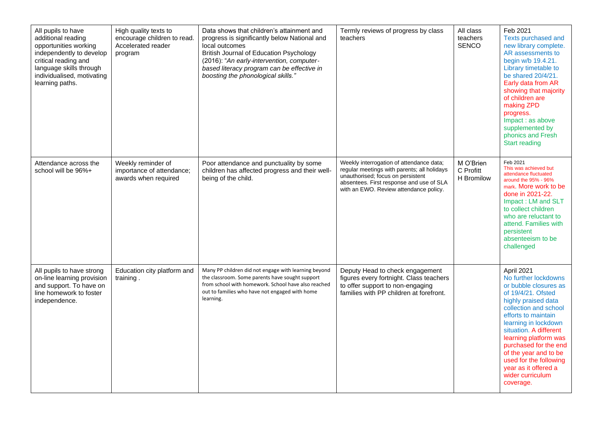| All pupils to have<br>additional reading<br>opportunities working<br>independently to develop<br>critical reading and<br>language skills through<br>individualised, motivating<br>learning paths. | High quality texts to<br>encourage children to read.<br>Accelerated reader<br>program | Data shows that children's attainment and<br>progress is significantly below National and<br>local outcomes<br>British Journal of Education Psychology<br>(2016): "An early-intervention, computer-<br>based literacy program can be effective in<br>boosting the phonological skills." | Termly reviews of progress by class<br>teachers                                                                                                                                                                    | All class<br>teachers<br>SENCO       | Feb 2021<br>Texts purchased and<br>new library complete.<br>AR assessments to<br>begin w/b 19.4.21.<br>Library timetable to<br>be shared 20/4/21.<br>Early data from AR<br>showing that majority<br>of children are<br>making ZPD<br>progress.<br>Impact : as above<br>supplemented by<br>phonics and Fresh<br><b>Start reading</b>                                      |
|---------------------------------------------------------------------------------------------------------------------------------------------------------------------------------------------------|---------------------------------------------------------------------------------------|-----------------------------------------------------------------------------------------------------------------------------------------------------------------------------------------------------------------------------------------------------------------------------------------|--------------------------------------------------------------------------------------------------------------------------------------------------------------------------------------------------------------------|--------------------------------------|--------------------------------------------------------------------------------------------------------------------------------------------------------------------------------------------------------------------------------------------------------------------------------------------------------------------------------------------------------------------------|
| Attendance across the<br>school will be 96%+                                                                                                                                                      | Weekly reminder of<br>importance of attendance;<br>awards when required               | Poor attendance and punctuality by some<br>children has affected progress and their well-<br>being of the child.                                                                                                                                                                        | Weekly interrogation of attendance data;<br>regular meetings with parents; all holidays<br>unauthorised; focus on persistent<br>absentees. First response and use of SLA<br>with an EWO. Review attendance policy. | M O'Brien<br>C Profitt<br>H Bromilow | Feb 2021<br>This was achieved but<br>attendance fluctuated<br>around the 95% - 96%<br>mark. More work to be<br>done in 2021-22.<br>Impact: LM and SLT<br>to collect children<br>who are reluctant to<br>attend. Families with<br>persistent<br>absenteeism to be<br>challenged                                                                                           |
| All pupils to have strong<br>on-line learning provision<br>and support. To have on<br>line homework to foster<br>independence.                                                                    | Education city platform and<br>training.                                              | Many PP children did not engage with learning beyond<br>the classroom. Some parents have sought support<br>from school with homework. School have also reached<br>out to families who have not engaged with home<br>learning.                                                           | Deputy Head to check engagement<br>figures every fortnight. Class teachers<br>to offer support to non-engaging<br>families with PP children at forefront.                                                          |                                      | April 2021<br>No further lockdowns<br>or bubble closures as<br>of 19/4/21. Ofsted<br>highly praised data<br>collection and school<br>efforts to maintain<br>learning in lockdown<br>situation. A different<br>learning platform was<br>purchased for the end<br>of the year and to be<br>used for the following<br>year as it offered a<br>wider curriculum<br>coverage. |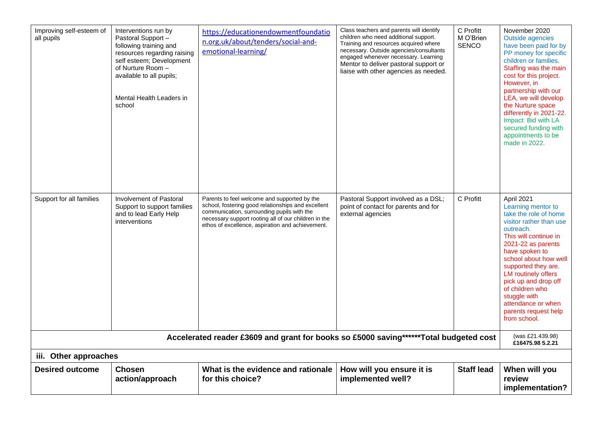| Improving self-esteem of<br>all pupils | Interventions run by<br>Pastoral Support -<br>following training and<br>resources regarding raising<br>self esteem; Development<br>of Nurture Room -<br>available to all pupils;<br>Mental Health Leaders in<br>school | https://educationendowmentfoundatio<br>n.org.uk/about/tenders/social-and-<br>emotional-learning/                                                                                                                                                             | Class teachers and parents will identify<br>children who need additional support.<br>Training and resources acquired where<br>necessary. Outside agencies/consultants<br>engaged whenever necessary. Learning<br>Mentor to deliver pastoral support or<br>liaise with other agencies as needed. | C Profitt<br>M O'Brien<br><b>SENCO</b> | November 2020<br><b>Outside agencies</b><br>have been paid for by<br>PP money for specific<br>children or families.<br>Staffing was the main<br>cost for this project.<br>However, in<br>partnership with our<br>LEA, we will develop<br>the Nurture space<br>differently in 2021-22.<br>Impact: Bid with LA<br>secured funding with<br>appointments to be<br>made in 2022. |  |  |
|----------------------------------------|------------------------------------------------------------------------------------------------------------------------------------------------------------------------------------------------------------------------|--------------------------------------------------------------------------------------------------------------------------------------------------------------------------------------------------------------------------------------------------------------|-------------------------------------------------------------------------------------------------------------------------------------------------------------------------------------------------------------------------------------------------------------------------------------------------|----------------------------------------|-----------------------------------------------------------------------------------------------------------------------------------------------------------------------------------------------------------------------------------------------------------------------------------------------------------------------------------------------------------------------------|--|--|
| Support for all families               | Involvement of Pastoral<br>Support to support families<br>and to lead Early Help<br>interventions                                                                                                                      | Parents to feel welcome and supported by the<br>school, fostering good relationships and excellent<br>communication, surrounding pupils with the<br>necessary support rooting all of our children in the<br>ethos of excellence, aspiration and achievement. | Pastoral Support involved as a DSL;<br>point of contact for parents and for<br>external agencies                                                                                                                                                                                                | C Profitt                              | April 2021<br>Learning mentor to<br>take the role of home<br>visitor rather than use<br>outreach.<br>This will continue in<br>2021-22 as parents<br>have spoken to<br>school about how well<br>supported they are.<br><b>LM routinely offers</b><br>pick up and drop off<br>of children who<br>stuggle with<br>attendance or when<br>parents request help<br>from school.   |  |  |
|                                        | Accelerated reader £3609 and grant for books so £5000 saving******Total budgeted cost<br>(was £21.439.98)<br>£16475.98 5.2.21                                                                                          |                                                                                                                                                                                                                                                              |                                                                                                                                                                                                                                                                                                 |                                        |                                                                                                                                                                                                                                                                                                                                                                             |  |  |
| iii. Other approaches                  |                                                                                                                                                                                                                        |                                                                                                                                                                                                                                                              |                                                                                                                                                                                                                                                                                                 |                                        |                                                                                                                                                                                                                                                                                                                                                                             |  |  |
| <b>Desired outcome</b>                 | <b>Chosen</b><br>action/approach                                                                                                                                                                                       | What is the evidence and rationale<br>for this choice?                                                                                                                                                                                                       | How will you ensure it is<br>implemented well?                                                                                                                                                                                                                                                  | <b>Staff lead</b>                      | When will you<br>review<br>implementation?                                                                                                                                                                                                                                                                                                                                  |  |  |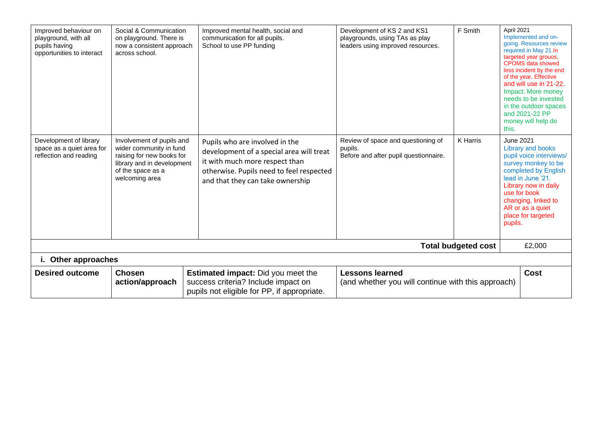| Improved behaviour on<br>playground, with all<br>pupils having<br>opportunities to interact | Social & Communication<br>on playground. There is<br>now a consistent approach<br>across school.                                                       | Improved mental health, social and<br>communication for all pupils.<br>School to use PP funding                                                                                              | Development of KS 2 and KS1<br>playgrounds, using TAs as play<br>leaders using improved resources. | F Smith                    | April 2021<br>this.         | Implemented and on-<br>going. Resources review<br>required in May 21.In<br>targeted year grouos,<br><b>CPOMS</b> data showed<br>less incident by the end<br>of the year. Effective<br>and will use in 21-22.<br>Impact: More money<br>needs to be invested<br>in the outdoor spaces<br>and 2021-22 PP<br>money will help do |
|---------------------------------------------------------------------------------------------|--------------------------------------------------------------------------------------------------------------------------------------------------------|----------------------------------------------------------------------------------------------------------------------------------------------------------------------------------------------|----------------------------------------------------------------------------------------------------|----------------------------|-----------------------------|-----------------------------------------------------------------------------------------------------------------------------------------------------------------------------------------------------------------------------------------------------------------------------------------------------------------------------|
| Development of library<br>space as a quiet area for<br>reflection and reading               | Involvement of pupils and<br>wider community in fund<br>raising for new books for<br>library and in development<br>of the space as a<br>welcoming area | Pupils who are involved in the<br>development of a special area will treat<br>it with much more respect than<br>otherwise. Pupils need to feel respected<br>and that they can take ownership | Review of space and questioning of<br>pupils.<br>Before and after pupil questionnaire.             | K Harris                   | <b>June 2021</b><br>pupils. | Library and books<br>pupil voice interviews/<br>survey monkey to be<br>completed by English<br>lead in June '21.<br>Library now in daily<br>use for book<br>changing, linked to<br>AR or as a quiet<br>place for targeted                                                                                                   |
|                                                                                             |                                                                                                                                                        |                                                                                                                                                                                              |                                                                                                    | <b>Total budgeted cost</b> |                             | £2,000                                                                                                                                                                                                                                                                                                                      |
| i. Other approaches                                                                         |                                                                                                                                                        |                                                                                                                                                                                              |                                                                                                    |                            |                             |                                                                                                                                                                                                                                                                                                                             |
| <b>Desired outcome</b>                                                                      | <b>Chosen</b><br>action/approach                                                                                                                       | <b>Estimated impact:</b> Did you meet the<br>success criteria? Include impact on<br>pupils not eligible for PP, if appropriate.                                                              | <b>Lessons learned</b><br>(and whether you will continue with this approach)                       |                            |                             | Cost                                                                                                                                                                                                                                                                                                                        |